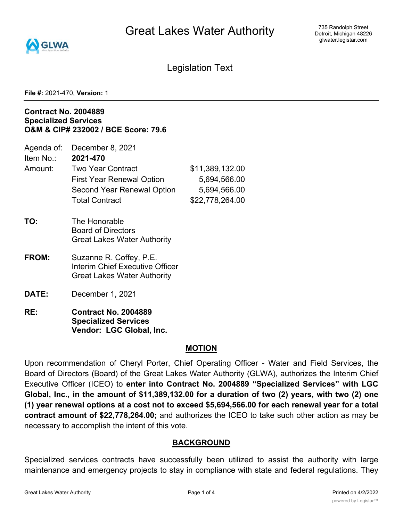Great Lakes Water Authority



735 Randolph Street Detroit, Michigan 48226 glwater.legistar.com

Legislation Text

**File #:** 2021-470, **Version:** 1

#### **Contract No. 2004889 Specialized Services O&M & CIP# 232002 / BCE Score: 79.6**

- Item No.: **2021-470**
- Amount: Two Year Contract \$11,389,132.00 First Year Renewal Option 5,694,566.00 Second Year Renewal Option 5,694,566.00 Total Contract \$22,778,264.00
- **TO:** The Honorable Board of Directors Great Lakes Water Authority
- **FROM:** Suzanne R. Coffey, P.E. Interim Chief Executive Officer Great Lakes Water Authority
- **DATE:** December 1, 2021
- **RE: Contract No. 2004889 Specialized Services Vendor: LGC Global, Inc.**

## **MOTION**

Upon recommendation of Cheryl Porter, Chief Operating Officer - Water and Field Services, the Board of Directors (Board) of the Great Lakes Water Authority (GLWA), authorizes the Interim Chief Executive Officer (ICEO) to **enter into Contract No. 2004889 "Specialized Services" with LGC Global, Inc., in the amount of \$11,389,132.00 for a duration of two (2) years, with two (2) one (1) year renewal options at a cost not to exceed \$5,694,566.00 for each renewal year for a total contract amount of \$22,778,264.00;** and authorizes the ICEO to take such other action as may be necessary to accomplish the intent of this vote.

## **BACKGROUND**

Specialized services contracts have successfully been utilized to assist the authority with large maintenance and emergency projects to stay in compliance with state and federal regulations. They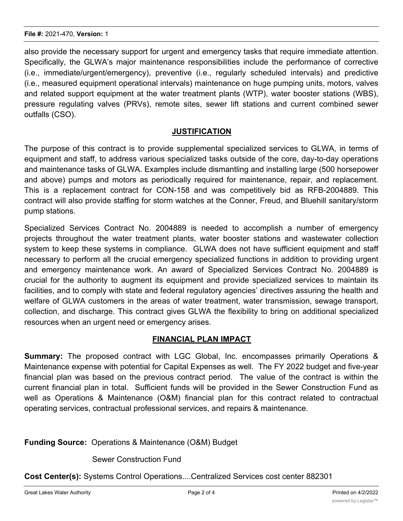also provide the necessary support for urgent and emergency tasks that require immediate attention. Specifically, the GLWA's major maintenance responsibilities include the performance of corrective (i.e., immediate/urgent/emergency), preventive (i.e., regularly scheduled intervals) and predictive (i.e., measured equipment operational intervals) maintenance on huge pumping units, motors, valves and related support equipment at the water treatment plants (WTP), water booster stations (WBS), pressure regulating valves (PRVs), remote sites, sewer lift stations and current combined sewer outfalls (CSO).

## **JUSTIFICATION**

The purpose of this contract is to provide supplemental specialized services to GLWA, in terms of equipment and staff, to address various specialized tasks outside of the core, day-to-day operations and maintenance tasks of GLWA. Examples include dismantling and installing large (500 horsepower and above) pumps and motors as periodically required for maintenance, repair, and replacement. This is a replacement contract for CON-158 and was competitively bid as RFB-2004889. This contract will also provide staffing for storm watches at the Conner, Freud, and Bluehill sanitary/storm pump stations.

Specialized Services Contract No. 2004889 is needed to accomplish a number of emergency projects throughout the water treatment plants, water booster stations and wastewater collection system to keep these systems in compliance. GLWA does not have sufficient equipment and staff necessary to perform all the crucial emergency specialized functions in addition to providing urgent and emergency maintenance work. An award of Specialized Services Contract No. 2004889 is crucial for the authority to augment its equipment and provide specialized services to maintain its facilities, and to comply with state and federal regulatory agencies' directives assuring the health and welfare of GLWA customers in the areas of water treatment, water transmission, sewage transport, collection, and discharge. This contract gives GLWA the flexibility to bring on additional specialized resources when an urgent need or emergency arises.

## **FINANCIAL PLAN IMPACT**

**Summary:** The proposed contract with LGC Global, Inc. encompasses primarily Operations & Maintenance expense with potential for Capital Expenses as well. The FY 2022 budget and five-year financial plan was based on the previous contract period. The value of the contract is within the current financial plan in total. Sufficient funds will be provided in the Sewer Construction Fund as well as Operations & Maintenance (O&M) financial plan for this contract related to contractual operating services, contractual professional services, and repairs & maintenance.

**Funding Source:** Operations & Maintenance (O&M) Budget

Sewer Construction Fund

**Cost Center(s):** Systems Control Operations....Centralized Services cost center 882301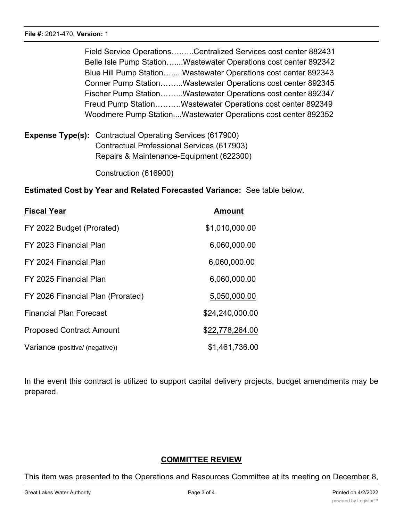Field Service Operations….…..Centralized Services cost center 882431 Belle Isle Pump Station…....Wastewater Operations cost center 892342 Blue Hill Pump Station….....Wastewater Operations cost center 892343 Conner Pump Station……...Wastewater Operations cost center 892345 Fischer Pump Station……...Wastewater Operations cost center 892347 Freud Pump Station……….Wastewater Operations cost center 892349 Woodmere Pump Station....Wastewater Operations cost center 892352

**Expense Type(s):** Contractual Operating Services (617900) Contractual Professional Services (617903) Repairs & Maintenance-Equipment (622300)

Construction (616900)

**Estimated Cost by Year and Related Forecasted Variance:** See table below.

| <b>Fiscal Year</b>                | <b>Amount</b>   |
|-----------------------------------|-----------------|
| FY 2022 Budget (Prorated)         | \$1,010,000.00  |
| FY 2023 Financial Plan            | 6,060,000.00    |
| FY 2024 Financial Plan            | 6,060,000.00    |
| FY 2025 Financial Plan            | 6,060,000.00    |
| FY 2026 Financial Plan (Prorated) | 5,050,000.00    |
| <b>Financial Plan Forecast</b>    | \$24,240,000.00 |
| <b>Proposed Contract Amount</b>   | \$22,778,264.00 |
| Variance (positive/ (negative))   | \$1,461,736.00  |

In the event this contract is utilized to support capital delivery projects, budget amendments may be prepared.

# **COMMITTEE REVIEW**

This item was presented to the Operations and Resources Committee at its meeting on December 8,